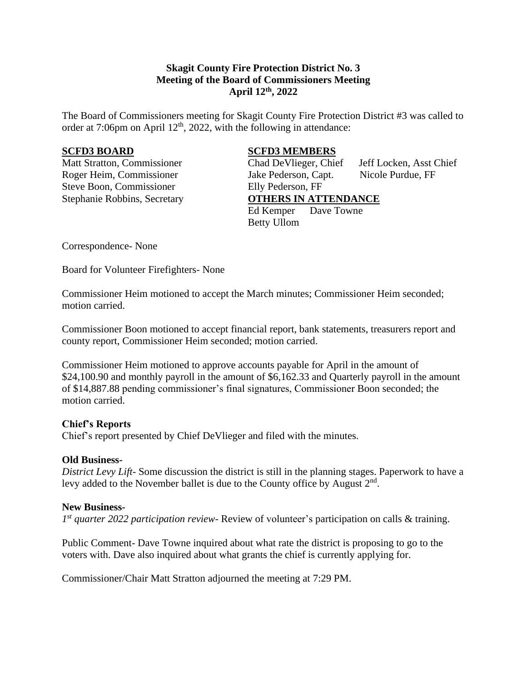# **Skagit County Fire Protection District No. 3 Meeting of the Board of Commissioners Meeting April 12th , 2022**

The Board of Commissioners meeting for Skagit County Fire Protection District #3 was called to order at 7:06pm on April  $12<sup>th</sup>$ , 2022, with the following in attendance:

Steve Boon, Commissioner Elly Pederson, FF

## **SCFD3 BOARD SCFD3 MEMBERS**

Matt Stratton, Commissioner Chad DeVlieger, Chief Jeff Locken, Asst Chief Roger Heim, Commissioner Jake Pederson, Capt. Nicole Purdue, FF Stephanie Robbins, Secretary **OTHERS IN ATTENDANCE** Ed Kemper Dave Towne Betty Ullom

Correspondence- None

Board for Volunteer Firefighters- None

Commissioner Heim motioned to accept the March minutes; Commissioner Heim seconded; motion carried.

Commissioner Boon motioned to accept financial report, bank statements, treasurers report and county report, Commissioner Heim seconded; motion carried.

Commissioner Heim motioned to approve accounts payable for April in the amount of \$24,100.90 and monthly payroll in the amount of \$6,162.33 and Quarterly payroll in the amount of \$14,887.88 pending commissioner's final signatures, Commissioner Boon seconded; the motion carried.

## **Chief's Reports**

Chief's report presented by Chief DeVlieger and filed with the minutes.

### **Old Business-**

*District Levy Lift*- Some discussion the district is still in the planning stages. Paperwork to have a levy added to the November ballet is due to the County office by August  $2<sup>nd</sup>$ .

### **New Business-**

*1 st quarter 2022 participation review-* Review of volunteer's participation on calls & training.

Public Comment- Dave Towne inquired about what rate the district is proposing to go to the voters with. Dave also inquired about what grants the chief is currently applying for.

Commissioner/Chair Matt Stratton adjourned the meeting at 7:29 PM.